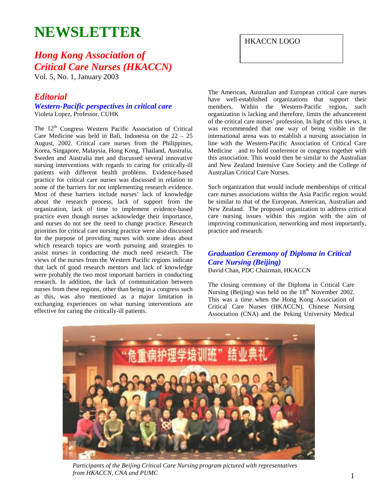# **NEWSLETTER**

## *Hong Kong Association of Critical Care Nurses (HKACCN)*

Vol. 5, No. 1, January 2003

## *Editorial*

#### *Western-Pacific perspectives in critical care*  Violeta Lopez, Professor, CUHK

The 12<sup>th</sup> Congress Western Pacific Association of Critical Care Medicine was held in Bali, Indonesia on the 22 – 25 August, 2002. Critical care nurses from the Philippines, Korea, Singapore, Malaysia, Hong Kong, Thailand, Australia, Sweden and Australia met and discussed several innovative nursing interventions with regards to caring for critically-ill patients with different health problems. Evidence-based practice for critical care nurses was discussed in relation to some of the barriers for not implementing research evidence. Most of these barriers include nurses' lack of knowledge about the research process, lack of support from the organization, lack of time to implement evidence-based practice even though nurses acknowledge their importance, and nurses do not see the need to change practice. Research priorities for critical care nursing practice were also discussed for the purpose of providing nurses with some ideas about which research topics are worth pursuing and strategies to assist nurses in conducting the much need research. The views of the nurses from the Western Pacific regions indicate that lack of good research mentors and lack of knowledge were probably the two most important barriers in conducting research. In addition, the lack of communication between nurses from these regions, other than being in a congress such as this, was also mentioned as a major limitation in exchanging experiences on what nursing interventions are effective for caring the critically-ill patients.

HKACCN LOGO

The American, Australian and European critical care nurses have well-established organizations that support their members. Within the Western-Pacific region, such organization is lacking and therefore, limits the advancement of the critical care nurses' profession. In light of this views, it was recommended that one way of being visible in the international arena was to establish a nursing association in line with the Western-Pacific Association of Critical Care Medicine and to hold conference or congress together with this association. This would then be similar to the Australian and New Zealand Intensive Care Society and the College of Australian Critical Care Nurses.

Such organization that would include memberships of critical care nurses associations within the Asia Pacific region would be similar to that of the European, American, Australian and New Zealand. The proposed organization to address critical care nursing issues within this region with the aim of improving communication, networking and most importantly, practice and research.

#### *Graduation Ceremony of Diploma in Critical Care Nursing (Beijing)*  David Chan, PDC Chairman, HKACCN

The closing ceremony of the Diploma in Critical Care Nursing (Beijing) was held on the  $18<sup>th</sup>$  November 2002. This was a time when the Hong Kong Association of Critical Care Nurses (HKACCN), Chinese Nursing Association (CNA) and the Peking University Medical



*Participants of the Beijing Critical Care Nursing program pictured with representatives from HKACCN, CNA and PUMC*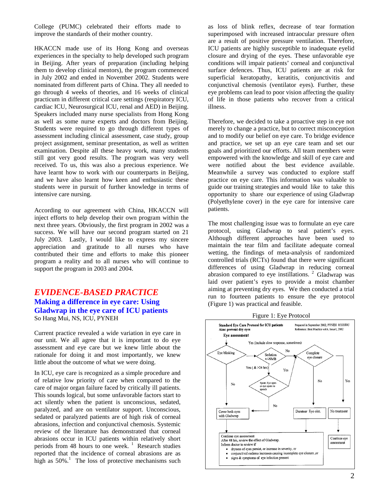College (PUMC) celebrated their efforts made to improve the standards of their mother country.

HKACCN made use of its Hong Kong and overseas experiences in the specialty to help developed such program in Beijing. After years of preparation (including helping them to develop clinical mentors), the program commenced in July 2002 and ended in November 2002. Students were nominated from different parts of China. They all needed to go through 4 weeks of theories, and 16 weeks of clinical practicum in different critical care settings (respiratory ICU, cardiac ICU, Neurosurgical ICU, renal and AED) in Beijing. Speakers included many nurse specialists from Hong Kong as well as some nurse experts and doctors from Beijing. Students were required to go through different types of assessment including clinical assessment, case study, group project assignment, seminar presentation, as well as written examination. Despite all these heavy work, many students still got very good results. The program was very well received. To us, this was also a precious experience. We have learnt how to work with our counterparts in Beijing, and we have also learnt how keen and enthusiastic these students were in pursuit of further knowledge in terms of intensive care nursing.

According to our agreement with China, HKACCN will inject efforts to help develop their own program within the next three years. Obviously, the first program in 2002 was a success. We will have our second program started on 21 July 2003. Lastly, I would like to express my sincere appreciation and gratitude to all nurses who have contributed their time and efforts to make this pioneer program a reality and to all nurses who will continue to support the program in 2003 and 2004.

### *EVIDENCE-BASED PRACTICE*  **Making a difference in eye care: Using Gladwrap in the eye care of ICU patients**  So Hang Mui, NS, ICU, PYNEH

Current practice revealed a wide variation in eye care in our unit. We all agree that it is important to do eye assessment and eye care but we knew little about the rationale for doing it and most importantly, we knew little about the outcome of what we were doing.

In ICU, eye care is recognized as a simple procedure and of relative low priority of care when compared to the care of major organ failure faced by critically ill patients. This sounds logical, but some unfavorable factors start to act silently when the patient is unconscious, sedated, paralyzed, and are on ventilator support. Unconscious, sedated or paralyzed patients are of high risk of corneal abrasions, infection and conjunctival chemosis. Systemic review of the literature has demonstrated that corneal abrasions occur in ICU patients within relatively short periods from 48 hours to one week.<sup>1</sup> Research studies reported that the incidence of corneal abrasions are as high as  $50\%$ <sup>1</sup>. The loss of protective mechanisms such

as loss of blink reflex, decrease of tear formation superimposed with increased intraocular pressure often are a result of positive pressure ventilation. Therefore, ICU patients are highly susceptible to inadequate eyelid closure and drying of the eyes. These unfavorable eye conditions will impair patients' corneal and conjunctival surface defences. Thus, ICU patients are at risk for superficial keratopathy, keratitis, conjunctivitis and conjunctival chemosis (ventilator eyes). Further, these eye problems can lead to poor vision affecting the quality of life in those patients who recover from a critical illness.

Therefore, we decided to take a proactive step in eye not merely to change a practice, but to correct misconception and to modify our belief on eye care. To bridge evidence and practice, we set up an eye care team and set our goals and prioritized our efforts. All team members were empowered with the knowledge and skill of eye care and were notified about the best evidence available. Meanwhile a survey was conducted to explore staff practice on eye care. This information was valuable to guide our training strategies and would like to take this opportunity to share our experience of using Gladwrap (Polyethylene cover) in the eye care for intensive care patients.

The most challenging issue was to formulate an eye care protocol, using Gladwrap to seal patient's eyes. Although different approaches have been used to maintain the tear film and facilitate adequate corneal wetting, the findings of meta-analysis of randomized controlled trials (RCTs) found that there were significant differences of using Gladwrap in reducing corneal abrasion compared to eye instillations.<sup>2</sup> Gladwrap was laid over patient's eyes to provide a moist chamber aiming at preventing dry eyes. We then conducted a trial run to fourteen patients to ensure the eye protocol (Figure 1) was practical and feasible.

Figure 1: Eye Protocol

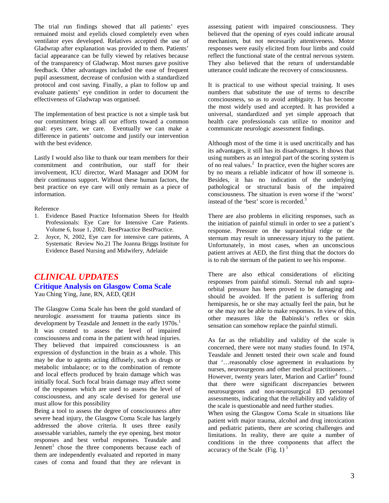The trial run findings showed that all patients' eyes remained moist and eyelids closed completely even when ventilator eyes developed. Relatives accepted the use of Gladwrap after explanation was provided to them. Patients' facial appearance can be fully viewed by relatives because of the transparency of Gladwrap. Most nurses gave positive feedback. Other advantages included the ease of frequent pupil assessment, decrease of confusion with a standardized protocol and cost saving. Finally, a plan to follow up and evaluate patients' eye condition in order to document the effectiveness of Gladwrap was organised.

The implementation of best practice is not a simple task but our commitment brings all our efforts toward a common goal: eyes care, we care. Eventually we can make a difference in patients' outcome and justify our intervention with the best evidence.

Lastly I would also like to thank our team members for their commitment and contribution, our staff for their involvement, ICU director, Ward Manager and DOM for their continuous support. Without these human factors, the best practice on eye care will only remain as a piece of information.

#### Reference

- 1. Evidence Based Practice Information Sheets for Health Professionals: Eye Care for Intensive Care Patients. Volume 6, Issue 1, 2002. BestPraactice BestPractice.
- 2. Joyce, N, 2002, Eye care for intensive care patients, A Systematic Review No.21 The Joanna Briggs Institute for Evidence Based Nursing and Midwifery, Adelaide

## *CLINICAL UPDATES*  **Critique Analysis on Glasgow Coma Scale**  Yau Ching Ying, Jane, RN, AED, QEH

The Glasgow Coma Scale has been the gold standard of neurologic assessment for trauma patients since its development by Teasdale and Jennett in the early 1970s.<sup>1</sup> It was created to assess the level of impaired consciousness and coma in the patient with head injuries. They believed that impaired consciousness is an expression of dysfunction in the brain as a whole. This may be due to agents acting diffusely, such as drugs or metabolic imbalance; or to the combination of remote and local effects produced by brain damage which was initially focal. Such focal brain damage may affect some of the responses which are used to assess the level of consciousness, and any scale devised for general use must allow for this possibility

Being a tool to assess the degree of consciousness after severe head injury, the Glasgow Coma Scale has largely addressed the above criteria. It uses three easily assessable variables, namely the eye opening, best motor responses and best verbal responses. Teasdale and Jennett<sup>1</sup> chose the three components because each of them are independently evaluated and reported in many cases of coma and found that they are relevant in

assessing patient with impaired consciousness. They believed that the opening of eyes could indicate arousal mechanism, but not necessarily attentiveness. Motor responses were easily elicited from four limbs and could reflect the functional state of the central nervous system. They also believed that the return of understandable utterance could indicate the recovery of consciousness.

It is practical to use without special training. It uses numbers that substitute the use of terms to describe consciousness, so as to avoid ambiguity. It has become the most widely used and accepted. It has provided a universal, standardized and yet simple approach that health care professionals can utilize to monitor and communicate neurologic assessment findings.

Although most of the time it is used uncritically and has its advantages, it still has its disadvantages. It shows that using numbers as an integral part of the scoring system is of no real values. $\frac{2}{1}$  In practice, even the higher scores are by no means a reliable indicator of how ill someone is. Besides, it has no indication of the underlying pathological or structural basis of the impaired consciousness. The situation is even worse if the 'worst' instead of the 'best' score is recorded.<sup>3</sup>

There are also problems in eliciting responses, such as the initiation of painful stimuli in order to see a patient's response. Pressure on the supraorbital ridge or the sternum may result in unnecessary injury to the patient. Unfortunately, in most cases, when an unconscious patient arrives at AED, the first thing that the doctors do is to rub the sternum of the patient to see his response.

There are also ethical considerations of eliciting responses from painful stimuli. Sternal rub and supraorbital pressure has been proved to be damaging and should be avoided. If the patient is suffering from hemiparesis, he or she may actually feel the pain, but he or she may not be able to make responses. In view of this, other measures like the Babinski's reflex or skin sensation can somehow replace the painful stimuli.

As far as the reliability and validity of the scale is concerned, there were not many studies found. In 1974, Teasdale and Jennett tested their own scale and found that '…reasonably close agreement in evaluations by nurses, neurosurgeons and other medical practitioners…' However, twenty years later, Marion and Carlier<sup>4</sup> found that there were significant discrepancies between neurosurgeons and non-neurosurgical ED personnel assessments, indicating that the reliability and validity of the scale is questionable and need further studies.

When using the Glasgow Coma Scale in situations like patient with major trauma, alcohol and drug intoxication and pediatric patients, there are scoring challenges and limitations. In reality, there are quite a number of conditions in the three components that affect the accuracy of the Scale  $(Fig. 1)^5$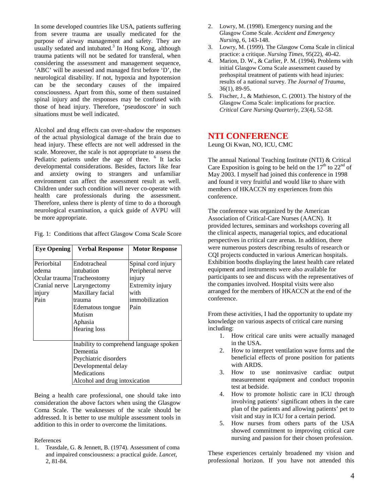In some developed countries like USA, patients suffering from severe trauma are usually medicated for the purpose of airway management and safety. They are usually sedated and intubated.<sup>3</sup> In Hong Kong, although trauma patients will not be sedated for transferal, when considering the assessment and management sequence, 'ABC' will be assessed and managed first before 'D', the neurological disability. If not, hypoxia and hypotension can be the secondary causes of the impaired consciousness. Apart from this, some of them sustained spinal injury and the responses may be confused with those of head injury. Therefore, 'pseudoscore' in such situations must be well indicated.

Alcohol and drug effects can over-shadow the responses of the actual physiological damage of the brain due to head injury. These effects are not well addressed in the scale. Moreover, the scale is not appropriate to assess the Pediatric patients under the age of three. <sup>6</sup> It lacks developmental considerations. Besides, factors like fear and anxiety owing to strangers and unfamiliar environment can affect the assessment result as well. Children under such condition will never co-operate with health care professionals during the assessment. Therefore, unless there is plenty of time to do a thorough neurological examination, a quick guide of AVPU will be more appropriate.

| <b>Eye Opening</b>                                      | <b>Verbal Response</b>                                                                                                                              | <b>Motor Response</b>                                                                                  |
|---------------------------------------------------------|-----------------------------------------------------------------------------------------------------------------------------------------------------|--------------------------------------------------------------------------------------------------------|
| Periorbital<br>edema<br>Cranial nerve<br>injury<br>Pain | Endotracheal<br>intubation<br>Ocular trauma Tracheostomy<br>Laryngectomy<br>Maxillary facial<br>trauma<br>Edematous tongue<br>Mutism                | Spinal cord injury<br>Peripheral nerve<br>injury<br>Extremity injury<br>with<br>immobilization<br>Pain |
|                                                         | Aphasia<br>Hearing loss                                                                                                                             |                                                                                                        |
|                                                         | Inability to comprehend language spoken<br>Dementia<br>Psychiatric disorders<br>Developmental delay<br>Medications<br>Alcohol and drug intoxication |                                                                                                        |

Fig. 1: Conditions that affect Glasgow Coma Scale Score

Being a health care professional, one should take into consideration the above factors when using the Glasgow Coma Scale. The weaknesses of the scale should be addressed. It is better to use multiple assessment tools in addition to this in order to overcome the limitations.

References

1. Teasdale, G. & Jennett, B. (1974). Assessment of coma and impaired consciousness: a practical guide. *Lancet,* 2, 81-84.

- 2. Lowry, M. (1998). Emergency nursing and the Glasgow Come Scale. *Accident and Emergency Nursing,* 6, 143-148.
- 3. Lowry, M. (1999). The Glasgow Coma Scale in clinical practice: a critique. *Nursing Times*, 95(22), 40-42.
- 4. Marion, D. W., & Carlier, P. M. (1994). Problems with initial Glasgow Coma Scale assessment caused by prehospital treatment of patients with head injuries: results of a national survey. *The Journal of Trauma,*  36(1), 89-95.
- 5. Fischer, J., & Mathieson, C. (2001). The history of the Glasgow Coma Scale: implications for practice. *Critical Care Nursing Quarterly,* 23(4), 52-58.

## **NTI CONFERENCE**

Leung Oi Kwan, NO, ICU, CMC

The annual National Teaching Institute (NTI) & Critical Care Exposition is going to be held on the  $17<sup>th</sup>$  to  $22<sup>nd</sup>$  of May 2003. I myself had joined this conference in 1998 and found it very fruitful and would like to share with members of HKACCN my experiences from this conference.

The conference was organized by the American Association of Critical-Care Nurses (AACN). It provided lectures, seminars and workshops covering all the clinical aspects, managerial topics, and educational perspectives in critical care arenas. In addition, there were numerous posters describing results of research or CQI projects conducted in various American hospitals. Exhibition booths displaying the latest health care related equipment and instruments were also available for participants to see and discuss with the representatives of the companies involved. Hospital visits were also arranged for the members of HKACCN at the end of the conference.

From these activities, I had the opportunity to update my knowledge on various aspects of critical care nursing including:

- 1. How critical care units were actually managed in the USA.
- 2. How to interpret ventilation wave forms and the beneficial effects of prone position for patients with ARDS.
- 3. How to use noninvasive cardiac output measurement equipment and conduct troponin test at bedside.
- 4. How to promote holistic care in ICU through involving patients' significant others in the care plan of the patients and allowing patients' pet to visit and stay in ICU for a certain period.
- 5. How nurses from others parts of the USA showed commitment to improving critical care nursing and passion for their chosen profession.

These experiences certainly broadened my vision and professional horizon. If you have not attended this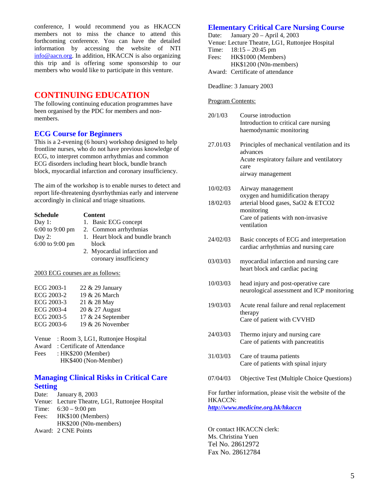conference, I would recommend you as HKACCN members not to miss the chance to attend this forthcoming conference. You can have the detailed information by accessing the website of NTI info@aacn.org. In addition, HKACCN is also organizing this trip and is offering some sponsorship to our members who would like to participate in this venture.

## **CONTINUING EDUCATION**

The following continuing education programmes have been organised by the PDC for members and nonmembers.

#### **ECG Course for Beginners**

This is a 2-evening (6 hours) workshop designed to help frontline nurses, who do not have previous knowledge of ECG, to interpret common arrhythmias and common ECG disorders including heart block, bundle branch block, myocardial infarction and coronary insufficiency.

The aim of the workshop is to enable nurses to detect and report life-threatening dysrrhythmias early and intervene accordingly in clinical and triage situations.

| <b>Schedule</b>   | <b>Content</b>                   |
|-------------------|----------------------------------|
| Day $1$ :         | 1. Basic ECG concept             |
| $6:00$ to 9:00 pm | 2. Common arrhythmias            |
| Day $2$ :         | 1. Heart block and bundle branch |
| 6:00 to 9:00 pm   | block                            |
|                   | 2. Myocardial infarction and     |
|                   | coronary insufficiency           |
|                   |                                  |

2003 ECG courses are as follows:

| ECG 2003-2<br>19 & 26 March     |  |
|---------------------------------|--|
|                                 |  |
| ECG 2003-3<br>21 & 28 May       |  |
| ECG 2003-4<br>20 & 27 August    |  |
| ECG 2003-5<br>17 & 24 September |  |
| 19 & 26 November<br>ECG 2003-6  |  |
|                                 |  |

|      | Venue : Room 3, LG1, Ruttonjee Hospital |
|------|-----------------------------------------|
|      | Award: Certificate of Attendance        |
| Fees | :HK\$200 (Member)                       |
|      | HK\$400 (Non-Member)                    |

#### **Managing Clinical Risks in Critical Care Setting**

Date: January 8, 2003 Venue: Lecture Theatre, LG1, Ruttonjee Hospital Time: 6:30 – 9:00 pm Fees: HK\$100 (Members) HK\$200 (N0n-members) Award: 2 CNE Points

#### **Elementary Critical Care Nursing Course**

Date: January 20 – April 4, 2003 Venue: Lecture Theatre, LG1, Ruttonjee Hospital Time: 18:15 – 20:45 pm Fees: HK\$1000 (Members) HK\$1200 (N0n-members)

Award: Certificate of attendance

Deadline: 3 January 2003

Program Contents:

| 20/1/03                                                                                                         | Course introduction<br>Introduction to critical care nursing<br>haemodynamic monitoring                                            |  |
|-----------------------------------------------------------------------------------------------------------------|------------------------------------------------------------------------------------------------------------------------------------|--|
| 27.01/03                                                                                                        | Principles of mechanical ventilation and its<br>advances<br>Acute respiratory failure and ventilatory<br>care<br>airway management |  |
| 10/02/03                                                                                                        | Airway management<br>oxygen and humidification therapy                                                                             |  |
| 18/02/03                                                                                                        | arterial blood gases, SaO2 & ETCO2<br>monitoring<br>Care of patients with non-invasive<br>ventilation                              |  |
| 24/02/03                                                                                                        | Basic concepts of ECG and interpretation<br>cardiac arrhythmias and nursing care                                                   |  |
| 03/03/03                                                                                                        | myocardial infarction and nursing care<br>heart block and cardiac pacing                                                           |  |
| 10/03/03                                                                                                        | head injury and post-operative care<br>neurological assessment and ICP monitoring                                                  |  |
| 19/03/03                                                                                                        | Acute renal failure and renal replacement<br>therapy<br>Care of patient with CVVHD                                                 |  |
| 24/03/03                                                                                                        | Thermo injury and nursing care<br>Care of patients with pancreatitis                                                               |  |
| 31/03/03                                                                                                        | Care of trauma patients<br>Care of patients with spinal injury                                                                     |  |
| 07/04/03                                                                                                        | Objective Test (Multiple Choice Questions)                                                                                         |  |
| For further information, please visit the website of the<br><b>HKACCN:</b><br>http://www.medicine.org.hk/hkaccn |                                                                                                                                    |  |

Or contact HKACCN clerk: Ms. Christina Yuen Tel No. 28612972 Fax No. 28612784